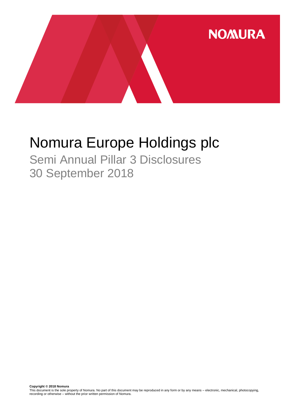

# Nomura Europe Holdings plc

Semi Annual Pillar 3 Disclosures 30 September 2018

**Copyright © 2018 Nomura**<br>This document is the sole property of Nomura. No part of this document may be reproduced in any form or by any means – electronic, mechanical, photocopying,<br>recording or otherwise – without the pr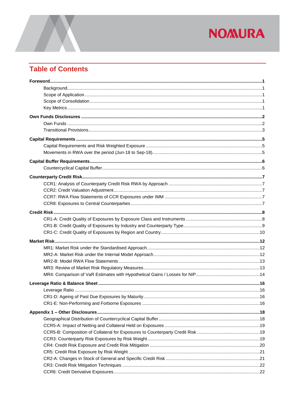## **Table of Contents**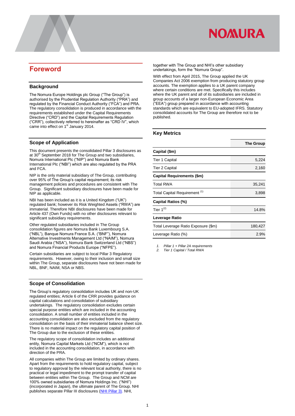

### <span id="page-2-0"></span>**Foreword**

#### <span id="page-2-1"></span>**Background**

The Nomura Europe Holdings plc Group ("The Group") is authorised by the Prudential Regulation Authority ("PRA") and regulated by the Financial Conduct Authority ("FCA") and PRA. The regulatory consolidation is produced in accordance with the requirements established under the Capital Requirements Directive ("CRD") and the Capital Requirements Regulation ("CRR"), collectively referred to hereinafter as "CRD IV", which came into effect on 1<sup>st</sup> January 2014.

#### <span id="page-2-2"></span>**Scope of Application**

<span id="page-2-3"></span>This document presents the consolidated Pillar 3 disclosures as at 30<sup>th</sup> September 2018 for The Group and two subsidiaries, Nomura International Plc ("NIP") and Nomura Bank International Plc ("NBI") which are also regulated by the PRA and FCA.

NIP is the only material subsidiary of The Group, contributing over 95% of The Group's capital requirement; its risk management policies and procedures are consistent with The Group. Significant subsidiary disclosures have been made for NIP as applicable.

NBI has been included as it is a United Kingdom ("UK") regulated bank; however its Risk Weighted Assets ("RWA") are immaterial. Therefore NBI disclosures have been made for Article 437 (Own Funds) with no other disclosures relevant to significant subsidiary requirements.

Other regulated subsidiaries included in The Group consolidation figures are Nomura Bank Luxembourg S.A. ("NBL"), Banque Nomura France S.A. ("BNF"), Nomura Alternative Investments Management Ltd ("NAIM"), Nomura Saudi Arabia ("NSA"), Nomura Bank Switzerland Ltd ("NBS") and Nomura Financial Products Europe ("NFPE").

Certain subsidiaries are subject to local Pillar 3 Regulatory requirements. However, owing to their inclusion and small size within The Group, separate disclosures have not been made for NBL, BNF, NAIM, NSA or NBS.

#### **Scope of Consolidation**

The Group's regulatory consolidation includes UK and non-UK regulated entities; Article 6 of the CRR provides guidance on capital calculations and consolidation of subsidiary undertakings. The regulatory consolidation excludes certain special purpose entities which are included in the accounting consolidation. A small number of entities included in the accounting consolidation are also excluded from the regulatory consolidation on the basis of their immaterial balance sheet size. There is no material impact on the regulatory capital position of The Group due to the exclusion of these entities

The regulatory scope of consolidation includes an additional entity, Nomura Capital Markets Ltd ("NCM"), which is not included in the accounting consolidation, in accordance with direction of the PRA.

All companies within The Group are limited by ordinary shares. Apart from the requirements to hold regulatory capital, subject to regulatory approval by the relevant local authority, there is no practical or legal impediment to the prompt transfer of capital between entities within The Group. The Group and NCM are 100% owned subsidiaries of Nomura Holdings Inc. ("NHI") (incorporated in Japan), the ultimate parent of The Group. NHI publishes separate Pillar III disclosures [\(NHI Pillar 3\)](https://www.nomuraholdings.com/company/group/holdings/pdf/basel_201803.pdf). NHI,

together with The Group and NHI's other subsidiary undertakings, form the "Nomura Group".

With effect from April 2015, The Group applied the UK Companies Act 2006 exemption from producing statutory group accounts. The exemption applies to a UK parent company where certain conditions are met. Specifically this includes where the UK parent and all of its subsidiaries are included in group accounts of a larger non-European Economic Area ("EEA") group prepared in accordance with accounting standards which are equivalent to EU-adopted IFRS. Statutory consolidated accounts for The Group are therefore not to be published.

#### <span id="page-2-4"></span>**Key Metrics**

|                                          | <b>The Group</b> |
|------------------------------------------|------------------|
| Capital (\$m)                            |                  |
| Tier 1 Capital                           | 5,224            |
| Tier 2 Capital                           | 2,160            |
| Capital Requirements (\$m)               |                  |
| <b>Total RWA</b>                         | 35,241           |
| Total Capital Requirement <sup>(1)</sup> | 3,898            |
| Capital Ratios (%)                       |                  |
| Tier $1^{(2)}$                           | 14.8%            |
| Leverage Ratio                           |                  |
| Total Leverage Ratio Exposure (\$m)      | 180,427          |
| Leverage Ratio (%)                       | 2.9%             |

*1. Pillar 1 + Pillar 2A requirements 2. Tier 1 Capital / Total RWA*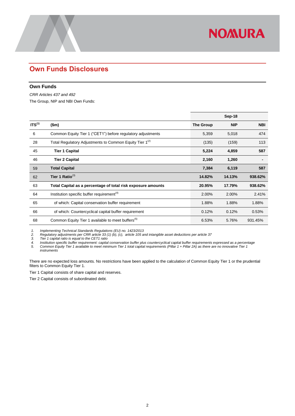### <span id="page-3-0"></span>**Own Funds Disclosures**

#### <span id="page-3-1"></span>**Own Funds**

*CRR Articles 437 and 492*  The Group, NIP and NBI Own Funds:

|                    |                                                                     |                  | Sep-18     |            |
|--------------------|---------------------------------------------------------------------|------------------|------------|------------|
| ITS <sup>(1)</sup> | \$m\$                                                               | <b>The Group</b> | <b>NIP</b> | <b>NBI</b> |
| 6                  | Common Equity Tier 1 ("CET1") before regulatory adjustments         | 5,359            | 5,018      | 474        |
| 28                 | Total Regulatory Adjustments to Common Equity Tier 1 <sup>(2)</sup> | (135)            | (159)      | 113        |
| 45                 | <b>Tier 1 Capital</b>                                               | 5,224            | 4,859      | 587        |
| 46                 | <b>Tier 2 Capital</b>                                               | 2,160            | 1,260      |            |
| 59                 | <b>Total Capital</b>                                                | 7,384            | 6,119      | 587        |
| 62                 | Tier 1 Ratio $^{(3)}$                                               | 14.82%           | 14.13%     | 938.62%    |
| 63                 | Total Capital as a percentage of total risk exposure amounts        | 20.95%           | 17.79%     | 938.62%    |
| 64                 | Institution specific buffer requirement <sup>(4)</sup>              | 2.00%            | 2.00%      | 2.41%      |
| 65                 | of which: Capital conservation buffer requirement                   | 1.88%            | 1.88%      | 1.88%      |
| 66                 | of which: Countercyclical capital buffer requirement                | 0.12%            | 0.12%      | 0.53%      |
| 68                 | Common Equity Tier 1 available to meet buffers <sup>(5)</sup>       | 6.53%            | 5.76%      | 931.45%    |

**NOMURA** 

*1. Implementing Technical Standards Regulations (EU) no. 1423/2013*

*2. Regulatory adjustments per CRR article 33 (1) (b), (c), article 105 and intangible asset deductions per article 37*

*3. Tier 1 capital ratio is equal to the CET1 ratio*

*4. Institution specific buffer requirement: capital conservation buffer plus countercyclical capital buffer requirements expressed as a percentage 5. Common Equity Tier 1 available to meet minimum Tier 1 total capital requirements (Pillar 1 + Pillar 2A) as there are no innovative Tier 1 instruments*

There are no expected loss amounts. No restrictions have been applied to the calculation of Common Equity Tier 1 or the prudential filters to Common Equity Tier 1.

Tier 1 Capital consists of share capital and reserves.

Tier 2 Capital consists of subordinated debt.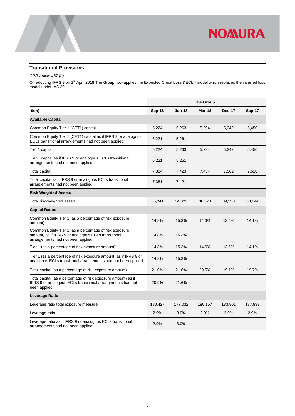

#### <span id="page-4-0"></span>**Transitional Provisions**

*CRR Article 437 (a)*

On adopting IFRS 9 on 1<sup>st</sup> April 2018 The Group now applies the Expected Credit Loss ("ECL") model which replaces the incurred loss model under IAS 39

|                                                                                                                                                    | <b>The Group</b> |          |         |               |         |
|----------------------------------------------------------------------------------------------------------------------------------------------------|------------------|----------|---------|---------------|---------|
| \$(m)                                                                                                                                              | Sep-18           | $Jun-18$ | Mar-18  | <b>Dec-17</b> | Sep-17  |
| <b>Available Capital</b>                                                                                                                           |                  |          |         |               |         |
| Common Equity Tier 1 (CET1) capital                                                                                                                | 5,224            | 5,263    | 5,294   | 5,342         | 5,450   |
| Common Equity Tier 1 (CET1) capital as if IFRS 9 or analogous<br>ECLs transitional arrangements had not been applied                               | 5,221            | 5,261    |         |               |         |
| Tier 1 capital                                                                                                                                     | 5,224            | 5,263    | 5,294   | 5,342         | 5,450   |
| Tier 1 capital as if IFRS 9 or analogous ECLs transitional<br>arrangements had not been applied                                                    | 5,221            | 5,261    |         |               |         |
| Total capital                                                                                                                                      | 7,384            | 7,423    | 7,454   | 7,502         | 7,610   |
| Total capital as if IFRS 9 or analogous ECLs transitional<br>arrangements had not been applied                                                     | 7,381            | 7,421    |         |               |         |
| <b>Risk Weighted Assets</b>                                                                                                                        |                  |          |         |               |         |
| Total risk-weighted assets                                                                                                                         | 35,241           | 34,328   | 36,378  | 39,250        | 38,644  |
| <b>Capital Ratios</b>                                                                                                                              |                  |          |         |               |         |
| Common Equity Tier 1 (as a percentage of risk exposure<br>amount)                                                                                  | 14.8%            | 15.3%    | 14.6%   | 13.6%         | 14.1%   |
| Common Equity Tier 1 (as a percentage of risk exposure<br>amount) as if IFRS 9 or analogous ECLs transitional<br>arrangements had not been applied | 14.8%            | 15.3%    |         |               |         |
| Tier 1 (as a percentage of risk exposure amount)                                                                                                   | 14.8%            | 15.3%    | 14.6%   | 13.6%         | 14.1%   |
| Tier 1 (as a percentage of risk exposure amount) as if IFRS 9 or<br>analogous ECLs transitional arrangements had not been applied                  | 14.8%            | 15.3%    |         |               |         |
| Total capital (as a percentage of risk exposure amount)                                                                                            | 21.0%            | 21.6%    | 20.5%   | 19.1%         | 19.7%   |
| Total capital (as a percentage of risk exposure amount) as if<br>IFRS 9 or analogous ECLs transitional arrangements had not<br>been applied        | 20.9%            | 21.6%    |         |               |         |
| Leverage Ratio                                                                                                                                     |                  |          |         |               |         |
| Leverage ratio total exposure measure                                                                                                              | 180,427          | 177,032  | 180,157 | 183,801       | 187,893 |
| Leverage ratio                                                                                                                                     | 2.9%             | 3.0%     | 2.9%    | 2.9%          | 2.9%    |
| Leverage ratio as if IFRS 9 or analogous ECLs transitional<br>arrangements had not been applied                                                    | 2.9%             | 3.0%     |         |               |         |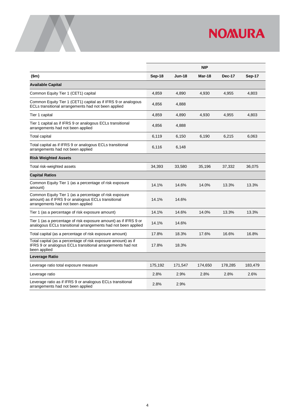

|                                                                                                                                                    |         |               | <b>NIP</b> |         |         |
|----------------------------------------------------------------------------------------------------------------------------------------------------|---------|---------------|------------|---------|---------|
| \$m\$                                                                                                                                              | Sep-18  | <b>Jun-18</b> | Mar-18     | Dec-17  | Sep-17  |
| <b>Available Capital</b>                                                                                                                           |         |               |            |         |         |
| Common Equity Tier 1 (CET1) capital                                                                                                                | 4,859   | 4,890         | 4,930      | 4,955   | 4,803   |
| Common Equity Tier 1 (CET1) capital as if IFRS 9 or analogous<br>ECLs transitional arrangements had not been applied                               | 4,856   | 4,888         |            |         |         |
| Tier 1 capital                                                                                                                                     | 4,859   | 4,890         | 4,930      | 4,955   | 4,803   |
| Tier 1 capital as if IFRS 9 or analogous ECLs transitional<br>arrangements had not been applied                                                    | 4,856   | 4,888         |            |         |         |
| Total capital                                                                                                                                      | 6,119   | 6,150         | 6,190      | 6,215   | 6,063   |
| Total capital as if IFRS 9 or analogous ECLs transitional<br>arrangements had not been applied                                                     | 6,116   | 6,148         |            |         |         |
| <b>Risk Weighted Assets</b>                                                                                                                        |         |               |            |         |         |
| Total risk-weighted assets                                                                                                                         | 34,393  | 33,580        | 35,196     | 37,332  | 36,075  |
| <b>Capital Ratios</b>                                                                                                                              |         |               |            |         |         |
| Common Equity Tier 1 (as a percentage of risk exposure<br>amount)                                                                                  | 14.1%   | 14.6%         | 14.0%      | 13.3%   | 13.3%   |
| Common Equity Tier 1 (as a percentage of risk exposure<br>amount) as if IFRS 9 or analogous ECLs transitional<br>arrangements had not been applied | 14.1%   | 14.6%         |            |         |         |
| Tier 1 (as a percentage of risk exposure amount)                                                                                                   | 14.1%   | 14.6%         | 14.0%      | 13.3%   | 13.3%   |
| Tier 1 (as a percentage of risk exposure amount) as if IFRS 9 or<br>analogous ECLs transitional arrangements had not been applied                  | 14.1%   | 14.6%         |            |         |         |
| Total capital (as a percentage of risk exposure amount)                                                                                            | 17.8%   | 18.3%         | 17.6%      | 16.6%   | 16.8%   |
| Total capital (as a percentage of risk exposure amount) as if<br>IFRS 9 or analogous ECLs transitional arrangements had not<br>been applied        | 17.8%   | 18.3%         |            |         |         |
| Leverage Ratio                                                                                                                                     |         |               |            |         |         |
| Leverage ratio total exposure measure                                                                                                              | 175,192 | 171,547       | 174,650    | 178,285 | 183,479 |
| Leverage ratio                                                                                                                                     | 2.8%    | 2.9%          | 2.8%       | 2.8%    | 2.6%    |
| Leverage ratio as if IFRS 9 or analogous ECLs transitional<br>arrangements had not been applied                                                    | 2.8%    | 2.9%          |            |         |         |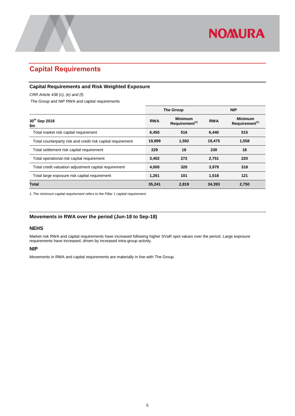## <span id="page-6-0"></span>**Capital Requirements**

#### <span id="page-6-1"></span>**Capital Requirements and Risk Weighted Exposure**

*CRR Article 438 (c), (e) and (f).*

The Group and NIP RWA and capital requirements

|                                                             |            | <b>The Group</b>                             |            | <b>NIP</b>                                   |
|-------------------------------------------------------------|------------|----------------------------------------------|------------|----------------------------------------------|
| 30 <sup>th</sup> Sep 2018<br>\$m                            | <b>RWA</b> | <b>Minimum</b><br>Requirement <sup>(1)</sup> | <b>RWA</b> | <b>Minimum</b><br>Requirement <sup>(1)</sup> |
| Total market risk capital requirement                       | 6,450      | 516                                          | 6,440      | 515                                          |
| Total counterparty risk and credit risk capital requirement | 19,899     | 1,592                                        | 19,475     | 1,558                                        |
| Total settlement risk capital requirement                   | 229        | 18                                           | 230        | 18                                           |
| Total operational risk capital requirement                  | 3,402      | 272                                          | 2,751      | 220                                          |
| Total credit valuation adjustment capital requirement       | 4,000      | 320                                          | 3.979      | 318                                          |
| Total large exposure risk capital requirement               | 1,261      | 101                                          | 1,518      | 121                                          |
| <b>Total</b>                                                | 35.241     | 2,819                                        | 34,393     | 2,750                                        |

*1. The minimum capital requirement refers to the Pillar 1 capital requirement.*

#### <span id="page-6-2"></span>**Movements in RWA over the period (Jun-18 to Sep-18)**

#### **NEHS**

Market risk RWA and capital requirements have increased following higher SVaR spot values over the period. Large exposure requirements have increased, driven by increased intra-group activity.

#### **NIP**

Movements in RWA and capital requirements are materially in line with The Group.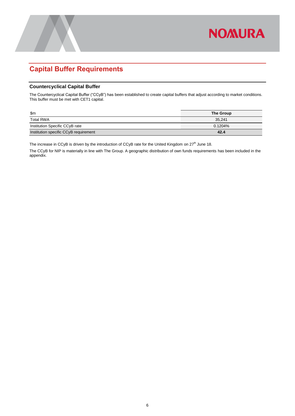## <span id="page-7-0"></span>**Capital Buffer Requirements**

#### <span id="page-7-1"></span>**Countercyclical Capital Buffer**

The Countercyclical Capital Buffer ("CCyB") has been established to create capital buffers that adjust according to market conditions. This buffer must be met with CET1 capital.

**NOMURA** 

| \$m                                   | <b>The Group</b> |
|---------------------------------------|------------------|
| Total RWA                             | 35.241           |
| Institution Specific CCyB rate        | $0.1204\%$       |
| Institution specific CCyB requirement | 42.4             |

The increase in CCyB is driven by the introduction of CCyB rate for the United Kingdom on  $27<sup>th</sup>$  June 18.

The CCyB for NIP is materially in line with The Group. A geographic distribution of own funds requirements has been included in the appendix.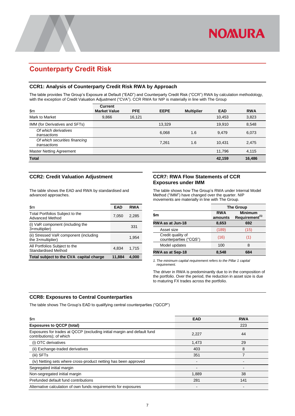### <span id="page-8-0"></span>**Counterparty Credit Risk**

#### <span id="page-8-1"></span>**CCR1: Analysis of Counterparty Credit Risk RWA by Approach**

The table provides The Group's Exposure at Default ("EAD") and Counterparty Credit Risk ("CCR") RWA by calculation methodology, with the exception of Credit Valuation Adjustment ("CVA"). CCR RWA for NIP is materially in line with The Group

| \$m\$                                         | <b>Current</b><br><b>Market Value</b> | <b>PFE</b> | <b>EEPE</b> | <b>Multiplier</b> | <b>EAD</b> | <b>RWA</b> |
|-----------------------------------------------|---------------------------------------|------------|-------------|-------------------|------------|------------|
| Mark to Market                                | 9,866                                 | 16,121     |             |                   | 10,453     | 3,823      |
| IMM (for Derivatives and SFTs)                |                                       |            | 13.329      |                   | 19.910     | 8,548      |
| Of which derivatives<br>transactions          |                                       |            | 6,068       | 1.6               | 9.479      | 6,073      |
| Of which securities financing<br>transactions |                                       |            | 7.261       | 1.6               | 10.431     | 2,475      |
| Master Netting Agreement                      |                                       |            |             |                   | 11.796     | 4,115      |
| <b>Total</b>                                  |                                       |            |             |                   | 42,159     | 16,486     |

#### <span id="page-8-2"></span>**CCR2: Credit Valuation Adjustment**

The table shows the EAD and RWA by standardised and advanced approaches.

| \$m                                                         | <b>EAD</b> | <b>RWA</b> |
|-------------------------------------------------------------|------------|------------|
| Total Portfolios Subject to the<br><b>Advanced Method</b>   | 7,050      | 2.285      |
| (i) VaR component (including the<br>3xmultiplier)           |            | 331        |
| (ii) Stressed VaR component (including<br>the 3xmultiplier) |            | 1,954      |
| All Portfolios Subject to the<br>Standardised Method        | 4.834      | 1.715      |
| Total subject to the CVA capital charge                     | 11.884     | 4.000      |

#### <span id="page-8-3"></span>**CCR7: RWA Flow Statements of CCR Exposures under IMM**

The table shows how The Group's RWA under Internal Model Method ("IMM") have changed over the quarter. NIP movements are materially in line with The Group.

|                                             | <b>The Group</b>                                                      |      |  |  |
|---------------------------------------------|-----------------------------------------------------------------------|------|--|--|
| \$m                                         | <b>Minimum</b><br><b>RWA</b><br>Requirement <sup>(1)</sup><br>amounts |      |  |  |
| RWA as at Jun-18                            | 8,653                                                                 | 692  |  |  |
| Asset size                                  | (189)                                                                 | (15) |  |  |
| Credit quality of<br>counterparties ("CQS") | (16)                                                                  | (1)  |  |  |
| Model updates                               | 100                                                                   | 8    |  |  |
| <b>RWA as at Sep-18</b>                     | 8,548                                                                 | 684  |  |  |

*1. The minimum capital requirement refers to the Pillar 1 capital requirement.*

The driver in RWA is predominantly due to in the composition of the portfolio. Over the period, the reduction in asset size is due to maturing FX trades across the portfolio.

#### <span id="page-8-4"></span>**CCR8: Exposures to Central Counterparties**

The table shows The Group's EAD to qualifying central counterparties ("QCCP")

| \$m                                                                                                 | <b>EAD</b> | <b>RWA</b> |
|-----------------------------------------------------------------------------------------------------|------------|------------|
| <b>Exposures to QCCP (total)</b>                                                                    |            | 223        |
| Exposures for trades at QCCP (excluding initial margin and default fund<br>contributions); of which | 2,227      | 44         |
| (i) OTC derivatives                                                                                 | 1.473      | 29         |
| (ii) Exchange-traded derivatives                                                                    | 403        | 8          |
| (iii) SFTs                                                                                          | 351        |            |
| (iv) Netting sets where cross-product netting has been approved                                     |            |            |
| Segregated initial margin                                                                           |            |            |
| Non-segregated initial margin                                                                       | 1,889      | 38         |
| Prefunded default fund contributions                                                                | 281        | 141        |
| Alternative calculation of own funds requirements for exposures                                     |            |            |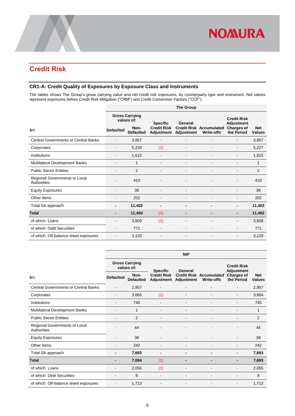### <span id="page-9-0"></span>**Credit Risk**

#### <span id="page-9-1"></span>**CR1-A: Credit Quality of Exposures by Exposure Class and Instruments**

The tables shows The Group's gross carrying value and net credit risk exposures, by counterparty type and instrument. Net values represent exposures before Credit Risk Mitigation ("CRM") and Credit Conversion Factors ("CCF").

|                                              | <b>The Group</b>         |                                     |                          |                              |                                                     |                                  |                             |
|----------------------------------------------|--------------------------|-------------------------------------|--------------------------|------------------------------|-----------------------------------------------------|----------------------------------|-----------------------------|
|                                              |                          | <b>Gross Carrying</b><br>values of: | <b>Specific</b>          | General                      |                                                     | <b>Credit Risk</b><br>Adjustment |                             |
| \$m\$                                        | <b>Defaulted</b>         | Non-<br><b>Defaulted</b>            | <b>Credit Risk</b>       | Adjustment Adjustment        | <b>Credit Risk Accumulated</b><br><b>Write-offs</b> | <b>Charges of</b><br>the Period  | <b>Net</b><br><b>Values</b> |
| <b>Central Governments or Central Banks</b>  |                          | 3,857                               | $\overline{\phantom{a}}$ | $\blacksquare$               |                                                     |                                  | 3,857                       |
| Corporates                                   |                          | 5,228                               | (1)                      | ۰                            |                                                     |                                  | 5,227                       |
| Institutions                                 |                          | 1,615                               |                          |                              |                                                     |                                  | 1,615                       |
| Multilateral Development Banks               |                          | 1                                   |                          | Ē,                           | $\blacksquare$                                      |                                  | 1                           |
| <b>Public Sector Entities</b>                | $\blacksquare$           | $\overline{2}$                      | $\blacksquare$           | $\qquad \qquad \blacksquare$ | $\blacksquare$                                      | $\blacksquare$                   | $\overline{2}$              |
| Regional Governments or Local<br>Authorities |                          | 410                                 |                          | -                            |                                                     |                                  | 410                         |
| <b>Equity Exposures</b>                      |                          | 38                                  |                          | $\qquad \qquad \blacksquare$ | $\overline{\phantom{0}}$                            |                                  | 38                          |
| Other items                                  |                          | 252                                 |                          | $\overline{\phantom{0}}$     | $\overline{\phantom{a}}$                            |                                  | 252                         |
| Total SA approach                            | $\blacksquare$           | 11,402                              | $\blacksquare$           | -                            | -                                                   | $\blacksquare$                   | 11,402                      |
| <b>Total</b>                                 | $\blacksquare$           | 11,403                              | (1)                      | $\overline{a}$               | $\overline{\phantom{0}}$                            | $\qquad \qquad \blacksquare$     | 11,402                      |
| of which: Loans                              | -                        | 3,609                               | (1)                      | $\blacksquare$               | $\blacksquare$                                      |                                  | 3,608                       |
| of which: Debt Securities                    | $\blacksquare$           | 771                                 | $\blacksquare$           | $\qquad \qquad \blacksquare$ | $\overline{\phantom{0}}$                            | $\blacksquare$                   | 771                         |
| of which: Off-balance sheet exposures        | $\overline{\phantom{a}}$ | 3,120                               | $\overline{\phantom{a}}$ | $\qquad \qquad \blacksquare$ | $\overline{\phantom{0}}$                            |                                  | 3,120                       |

|                                              | <b>NIP</b>       |                                     |                    |                              |                                                     |                                  |                             |  |  |
|----------------------------------------------|------------------|-------------------------------------|--------------------|------------------------------|-----------------------------------------------------|----------------------------------|-----------------------------|--|--|
|                                              |                  | <b>Gross Carrying</b><br>values of: | <b>Specific</b>    | General                      |                                                     | <b>Credit Risk</b><br>Adjustment |                             |  |  |
| $\mathsf{Sm}$                                | <b>Defaulted</b> | Non-<br><b>Defaulted</b>            | <b>Credit Risk</b> | Adjustment Adjustment        | <b>Credit Risk Accumulated</b><br><b>Write-offs</b> | <b>Charges of</b><br>the Period  | <b>Net</b><br><b>Values</b> |  |  |
| <b>Central Governments or Central Banks</b>  | ٠                | 2,957                               | ٠                  | $\overline{\phantom{0}}$     |                                                     |                                  | 2,957                       |  |  |
| Corporates                                   | ۰                | 3,665                               | (1)                | $\overline{\phantom{0}}$     | $\overline{\phantom{a}}$                            |                                  | 3,664                       |  |  |
| Institutions                                 |                  | 745                                 |                    | $\qquad \qquad \blacksquare$ | -                                                   |                                  | 745                         |  |  |
| Multilateral Development Banks               | ٠                | 1                                   |                    | $\blacksquare$               | $\overline{\phantom{0}}$                            |                                  | 1                           |  |  |
| <b>Public Sector Entities</b>                |                  | 2                                   |                    | $\blacksquare$               | $\overline{\phantom{a}}$                            |                                  | 2                           |  |  |
| Regional Governments or Local<br>Authorities |                  | 44                                  |                    |                              |                                                     |                                  | 44                          |  |  |
| <b>Equity Exposures</b>                      |                  | 38                                  |                    | $\blacksquare$               | $\overline{\phantom{a}}$                            |                                  | 38                          |  |  |
| Other items                                  | ۰                | 242                                 | ٠                  | $\blacksquare$               | $\overline{\phantom{a}}$                            |                                  | 242                         |  |  |
| Total SA approach                            | -                | 7,693                               | ٠                  | $\blacksquare$               | -                                                   | $\blacksquare$                   | 7,693                       |  |  |
| <b>Total</b>                                 | -                | 7,694                               | (1)                |                              | -                                                   | -                                | 7,693                       |  |  |
| of which: Loans                              | ۰                | 2,056                               | (1)                | $\overline{\phantom{a}}$     | $\overline{\phantom{a}}$                            |                                  | 2,055                       |  |  |
| of which: Debt Securities                    | Ĭ.               | 8                                   | ٠                  | $\blacksquare$               | $\overline{\phantom{a}}$                            |                                  | 8                           |  |  |
| of which: Off-balance sheet exposures        |                  | 1,713                               |                    | $\overline{\phantom{0}}$     |                                                     |                                  | 1,713                       |  |  |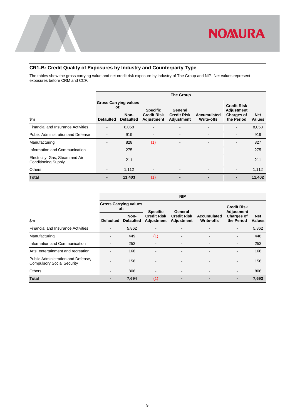

#### <span id="page-10-0"></span>**CR1-B: Credit Quality of Exposures by Industry and Counterparty Type**

The tables show the gross carrying value and net credit risk exposure by industry of The Group and NIP. Net values represent exposures before CRM and CCF.

|                                                               | <b>The Group</b>                    |                          |                                  |                                  |                                  |                                         |                             |  |
|---------------------------------------------------------------|-------------------------------------|--------------------------|----------------------------------|----------------------------------|----------------------------------|-----------------------------------------|-----------------------------|--|
|                                                               | <b>Gross Carrying values</b><br>of: |                          | <b>Specific</b>                  | General                          |                                  | <b>Credit Risk</b><br><b>Adjustment</b> |                             |  |
| $\mathsf{Sm}$                                                 | <b>Defaulted</b>                    | Non-<br><b>Defaulted</b> | <b>Credit Risk</b><br>Adjustment | <b>Credit Risk</b><br>Adjustment | Accumulated<br><b>Write-offs</b> | <b>Charges of</b><br>the Period         | <b>Net</b><br><b>Values</b> |  |
| <b>Financial and Insurance Activities</b>                     | $\overline{\phantom{a}}$            | 8,058                    | $\blacksquare$                   | $\overline{\phantom{a}}$         | $\overline{\phantom{a}}$         | $\overline{\phantom{a}}$                | 8,058                       |  |
| <b>Public Administration and Defense</b>                      |                                     | 919                      | $\overline{\phantom{0}}$         |                                  | ۰                                | $\qquad \qquad \blacksquare$            | 919                         |  |
| Manufacturing                                                 |                                     | 828                      | (1)                              | <b>.</b>                         | $\overline{\phantom{a}}$         | $\qquad \qquad \blacksquare$            | 827                         |  |
| Information and Communication                                 | $\overline{\phantom{a}}$            | 275                      | $\overline{\phantom{a}}$         | $\overline{\phantom{a}}$         | ۰                                | $\overline{\phantom{a}}$                | 275                         |  |
| Electricity, Gas, Steam and Air<br><b>Conditioning Supply</b> |                                     | 211                      | $\overline{\phantom{0}}$         | $\blacksquare$                   | $\overline{\phantom{a}}$         | $\overline{\phantom{a}}$                | 211                         |  |
| <b>Others</b>                                                 | $\blacksquare$                      | 1,112                    | $\blacksquare$                   | $\blacksquare$                   | $\overline{\phantom{a}}$         | $\overline{\phantom{a}}$                | 1,112                       |  |
| <b>Total</b>                                                  |                                     | 11,403                   | (1)                              | $\overline{a}$                   | $\blacksquare$                   | ٠                                       | 11,402                      |  |

|                                                                         |                  |                                     |                                  | <b>NIP</b>                       |                                  |                                         |                             |
|-------------------------------------------------------------------------|------------------|-------------------------------------|----------------------------------|----------------------------------|----------------------------------|-----------------------------------------|-----------------------------|
|                                                                         |                  | <b>Gross Carrying values</b><br>of: | <b>Specific</b>                  | General                          |                                  | <b>Credit Risk</b><br><b>Adjustment</b> |                             |
| \$m                                                                     | <b>Defaulted</b> | Non-<br><b>Defaulted</b>            | <b>Credit Risk</b><br>Adjustment | <b>Credit Risk</b><br>Adjustment | Accumulated<br><b>Write-offs</b> | <b>Charges of</b><br>the Period         | <b>Net</b><br><b>Values</b> |
| <b>Financial and Insurance Activities</b>                               |                  | 5,862                               |                                  |                                  |                                  |                                         | 5,862                       |
| Manufacturing                                                           |                  | 449                                 | (1)                              |                                  |                                  |                                         | 448                         |
| Information and Communication                                           |                  | 253                                 |                                  |                                  |                                  | $\overline{\phantom{a}}$                | 253                         |
| Arts, entertainment and recreation                                      |                  | 168                                 | $\overline{\phantom{a}}$         | $\overline{\phantom{a}}$         | $\blacksquare$                   | ٠                                       | 168                         |
| Public Administration and Defense,<br><b>Compulsory Social Security</b> |                  | 156                                 | $\qquad \qquad \blacksquare$     | $\overline{\phantom{a}}$         | ۰                                |                                         | 156                         |
| <b>Others</b>                                                           |                  | 806                                 |                                  |                                  |                                  |                                         | 806                         |
| <b>Total</b>                                                            |                  | 7,694                               | (1)                              |                                  |                                  | $\blacksquare$                          | 7,693                       |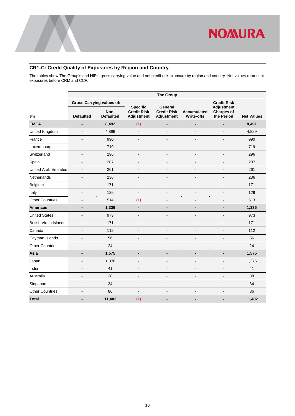

#### <span id="page-11-0"></span>**CR1-C: Credit Quality of Exposures by Region and Country**

The tables show The Group's and NIP's gross carrying value and net credit risk exposure by region and country. Net values represent exposures before CRM and CCF.

|                               | <b>The Group</b>         |                                  |                                                            |                                                    |                                         |                                                      |                   |
|-------------------------------|--------------------------|----------------------------------|------------------------------------------------------------|----------------------------------------------------|-----------------------------------------|------------------------------------------------------|-------------------|
|                               |                          | <b>Gross Carrying values of:</b> |                                                            |                                                    |                                         | <b>Credit Risk</b>                                   |                   |
| \$m                           | <b>Defaulted</b>         | Non-<br><b>Defaulted</b>         | <b>Specific</b><br><b>Credit Risk</b><br><b>Adjustment</b> | <b>General</b><br><b>Credit Risk</b><br>Adjustment | <b>Accumulated</b><br><b>Write-offs</b> | <b>Adjustment</b><br><b>Charges of</b><br>the Period | <b>Net Values</b> |
| <b>EMEA</b>                   | $\blacksquare$           | 8,492                            | (1)                                                        |                                                    | -                                       | $\blacksquare$                                       | 8,491             |
| United Kingdom                | L.                       | 4,889                            | $\blacksquare$                                             | $\overline{a}$                                     | L,                                      | ÷.                                                   | 4,889             |
| France                        | L.                       | 990                              | $\overline{a}$                                             | L,                                                 | L,                                      | $\blacksquare$                                       | 990               |
| Luxembourg                    | $\blacksquare$           | 719                              | $\overline{a}$                                             | $\overline{a}$                                     | $\overline{a}$                          | $\blacksquare$                                       | 719               |
| Switzerland                   | $\blacksquare$           | 296                              | $\blacksquare$                                             | $\blacksquare$                                     | $\overline{a}$                          | $\blacksquare$                                       | 296               |
| Spain                         |                          | 287                              | ٠                                                          | ٠                                                  | ÷                                       | $\overline{\phantom{a}}$                             | 287               |
| <b>United Arab Emirates</b>   | $\overline{a}$           | 261                              | $\blacksquare$                                             | $\blacksquare$                                     | $\blacksquare$                          | $\blacksquare$                                       | 261               |
| Netherlands                   | $\blacksquare$           | 236                              | $\overline{a}$                                             | $\blacksquare$                                     | $\overline{a}$                          | $\blacksquare$                                       | 236               |
| Belgium                       | $\overline{\phantom{a}}$ | 171                              | $\blacksquare$                                             | $\qquad \qquad \blacksquare$                       | $\overline{a}$                          | $\overline{\phantom{a}}$                             | 171               |
| Italy                         | $\overline{a}$           | 129                              | $\overline{a}$                                             | $\overline{\phantom{a}}$                           | $\overline{a}$                          | $\blacksquare$                                       | 129               |
| <b>Other Countries</b>        | $\blacksquare$           | 514                              | (1)                                                        | $\blacksquare$                                     | $\blacksquare$                          | $\blacksquare$                                       | 513               |
| <b>Americas</b>               | $\overline{\phantom{0}}$ | 1,336                            | $\overline{\phantom{0}}$                                   | $\overline{\phantom{0}}$                           | -                                       | $\blacksquare$                                       | 1,336             |
| <b>United States</b>          | $\overline{a}$           | 973                              | $\blacksquare$                                             | L,                                                 | L,                                      | $\blacksquare$                                       | 973               |
| <b>British Virgin Islands</b> | $\overline{a}$           | 171                              | $\overline{a}$                                             | $\overline{\phantom{a}}$                           | $\overline{a}$                          | $\overline{a}$                                       | 171               |
| Canada                        | $\overline{a}$           | 112                              | $\overline{a}$                                             | $\overline{a}$                                     | $\overline{a}$                          | $\blacksquare$                                       | 112               |
| Cayman Islands                |                          | 56                               | ۰                                                          |                                                    |                                         |                                                      | 56                |
| <b>Other Countries</b>        | $\blacksquare$           | 24                               | $\blacksquare$                                             | $\overline{a}$                                     | $\overline{a}$                          | $\blacksquare$                                       | 24                |
| Asia                          | $\overline{\phantom{a}}$ | 1,575                            | $\blacksquare$                                             | $\overline{\phantom{0}}$                           | -                                       | $\overline{a}$                                       | 1,575             |
| Japan                         | $\overline{a}$           | 1,376                            | $\overline{a}$                                             | $\overline{\phantom{a}}$                           | $\overline{a}$                          | $\blacksquare$                                       | 1,376             |
| India                         | L.                       | 41                               | $\overline{a}$                                             | $\overline{a}$                                     | $\overline{a}$                          | $\qquad \qquad \blacksquare$                         | 41                |
| Australia                     | $\blacksquare$           | 38                               | $\blacksquare$                                             | $\qquad \qquad \blacksquare$                       | $\blacksquare$                          | $\blacksquare$                                       | 38                |
| Singapore                     | $\blacksquare$           | 34                               | $\blacksquare$                                             | $\blacksquare$                                     | $\overline{a}$                          | $\blacksquare$                                       | 34                |
| <b>Other Countries</b>        | $\overline{a}$           | 86                               | $\blacksquare$                                             | $\blacksquare$                                     | $\overline{a}$                          | $\blacksquare$                                       | 86                |
| <b>Total</b>                  | $\blacksquare$           | 11,403                           | (1)                                                        | $\overline{\phantom{0}}$                           | -                                       | $\blacksquare$                                       | 11,402            |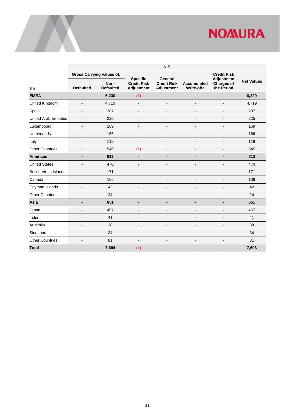|                               | <b>NIP</b>               |                                  |                                                     |                                                    |                                         |                                               |                   |  |  |
|-------------------------------|--------------------------|----------------------------------|-----------------------------------------------------|----------------------------------------------------|-----------------------------------------|-----------------------------------------------|-------------------|--|--|
|                               |                          | <b>Gross Carrying values of:</b> |                                                     |                                                    |                                         | <b>Credit Risk</b>                            |                   |  |  |
| \$m\$                         | <b>Defaulted</b>         | Non-<br><b>Defaulted</b>         | <b>Specific</b><br><b>Credit Risk</b><br>Adjustment | General<br><b>Credit Risk</b><br><b>Adjustment</b> | <b>Accumulated</b><br><b>Write-offs</b> | Adjustment<br><b>Charges of</b><br>the Period | <b>Net Values</b> |  |  |
| <b>EMEA</b>                   | $\blacksquare$           | 6,230                            | (1)                                                 | $\overline{\phantom{0}}$                           | -                                       | $\blacksquare$                                | 6,229             |  |  |
| United Kingdom                | $\overline{\phantom{0}}$ | 4,719                            | $\overline{a}$                                      | $\overline{a}$                                     | $\blacksquare$                          | $\overline{a}$                                | 4,719             |  |  |
| Spain                         | L.                       | 287                              | $\overline{a}$                                      | $\overline{a}$                                     | $\overline{a}$                          | $\overline{a}$                                | 287               |  |  |
| <b>United Arab Emirates</b>   | L.                       | 225                              | L,                                                  | $\overline{a}$                                     | $\overline{a}$                          | $\blacksquare$                                | 225               |  |  |
| Luxembourg                    | $\frac{1}{2}$            | 169                              | L,                                                  | $\overline{a}$                                     | $\overline{a}$                          | $\blacksquare$                                | 169               |  |  |
| Netherlands                   | $\overline{a}$           | 166                              | $\overline{a}$                                      | $\overline{a}$                                     | $\overline{a}$                          | $\blacksquare$                                | 166               |  |  |
| Italy                         | $\blacksquare$           | 118                              | L,                                                  | $\blacksquare$                                     | L,                                      | $\blacksquare$                                | 118               |  |  |
| <b>Other Countries</b>        | L.                       | 546                              | (1)                                                 | $\overline{a}$                                     | L.                                      | $\blacksquare$                                | 545               |  |  |
| <b>Americas</b>               |                          | 813                              | $\overline{\phantom{a}}$                            | $\overline{\phantom{0}}$                           | $\blacksquare$                          | $\blacksquare$                                | 813               |  |  |
| <b>United States</b>          | -                        | 470                              | $\overline{a}$                                      |                                                    |                                         |                                               | 470               |  |  |
| <b>British Virgin Islands</b> | -                        | 171                              | Ē,                                                  | $\blacksquare$                                     | Ē,                                      |                                               | 171               |  |  |
| Canada                        | -                        | 106                              | $\overline{a}$                                      |                                                    | L                                       |                                               | 106               |  |  |
| Cayman Islands                | $\blacksquare$           | 42                               | $\overline{a}$                                      | $\blacksquare$                                     | $\overline{a}$                          |                                               | 42                |  |  |
| <b>Other Countries</b>        | ä,                       | 24                               | $\blacksquare$                                      |                                                    | L                                       |                                               | 24                |  |  |
| Asia                          |                          | 651                              |                                                     | $\blacksquare$                                     |                                         | $\blacksquare$                                | 651               |  |  |
| Japan                         | ۷                        | 457                              | $\overline{a}$                                      |                                                    | L,                                      |                                               | 457               |  |  |
| India                         | L.                       | 41                               | L,                                                  | $\overline{a}$                                     | L,                                      | $\overline{a}$                                | 41                |  |  |
| Australia                     | $\overline{a}$           | 38                               | L,                                                  |                                                    | -                                       | $\overline{a}$                                | 38                |  |  |
| Singapore                     | L.                       | 34                               | L,                                                  | $\overline{a}$                                     | L,                                      | $\blacksquare$                                | 34                |  |  |
| <b>Other Countries</b>        | $\overline{a}$           | 81                               | $\overline{a}$                                      | $\overline{a}$                                     | L,                                      | $\blacksquare$                                | 81                |  |  |
| <b>Total</b>                  | $\blacksquare$           | 7,694                            | (1)                                                 | $\blacksquare$                                     | -                                       | $\blacksquare$                                | 7,693             |  |  |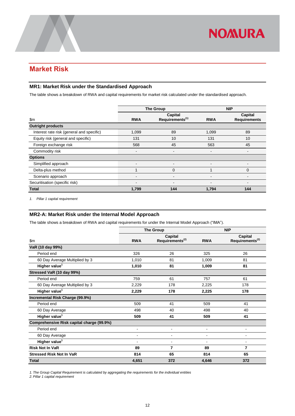### <span id="page-13-0"></span>**Market Risk**

#### <span id="page-13-1"></span>**MR1: Market Risk under the Standardised Approach**

The table shows a breakdown of RWA and capital requirements for market risk calculated under the standardised approach.

|                                           |                              | <b>The Group</b>                       | <b>NIP</b>                   |                                |  |
|-------------------------------------------|------------------------------|----------------------------------------|------------------------------|--------------------------------|--|
| $\mathsf{Sm}$                             | <b>RWA</b>                   | Capital<br>Requirements <sup>(1)</sup> | <b>RWA</b>                   | Capital<br><b>Requirements</b> |  |
| <b>Outright products</b>                  |                              |                                        |                              |                                |  |
| Interest rate risk (general and specific) | 1,099                        | 89                                     | 1,099                        | 89                             |  |
| Equity risk (general and specific)        | 131                          | 10                                     | 131                          | 10                             |  |
| Foreign exchange risk                     | 568                          | 45                                     | 563                          | 45                             |  |
| Commodity risk                            | ٠                            |                                        | $\overline{\phantom{a}}$     |                                |  |
| <b>Options</b>                            |                              |                                        |                              |                                |  |
| Simplified approach                       | $\qquad \qquad \blacksquare$ | $\overline{\phantom{a}}$               | $\qquad \qquad \blacksquare$ | -                              |  |
| Delta-plus method                         |                              | $\Omega$                               |                              | $\Omega$                       |  |
| Scenario approach                         | -                            |                                        | $\qquad \qquad \blacksquare$ | -                              |  |
| Securitisation (specific risk)            |                              |                                        | $\blacksquare$               |                                |  |
| <b>Total</b>                              | 1,799                        | 144                                    | 1,794                        | 144                            |  |

<span id="page-13-2"></span>*1. Pillar 1 capital requirement*

#### **MR2-A: Market Risk under the Internal Model Approach**

The table shows a breakdown of RWA and capital requirements for under the Internal Model Approach ("IMA").

|                                           | <b>The Group</b> |                                        |                | <b>NIP</b>                             |
|-------------------------------------------|------------------|----------------------------------------|----------------|----------------------------------------|
| \$m\$                                     | <b>RWA</b>       | Capital<br>Requirements <sup>(2)</sup> | <b>RWA</b>     | Capital<br>Requirements <sup>(2)</sup> |
| VaR (10 day 99%)                          |                  |                                        |                |                                        |
| Period end                                | 326              | 26                                     | 325            | 26                                     |
| 60 Day Average Multiplied by 3            | 1,010            | 81                                     | 1,009          | 81                                     |
| Higher value <sup>1</sup>                 | 1,010            | 81                                     | 1,009          | 81                                     |
| Stressed VaR (10 day 99%)                 |                  |                                        |                |                                        |
| Period end                                | 759              | 61                                     | 757            | 61                                     |
| 60 Day Average Multiplied by 3            | 2,229            | 178                                    | 2,225          | 178                                    |
| Higher value <sup>1</sup>                 | 2,229            | 178                                    | 2,225          | 178                                    |
| Incremental Risk Charge (99.9%)           |                  |                                        |                |                                        |
| Period end                                | 509              | 41                                     | 509            | 41                                     |
| 60 Day Average                            | 498              | 40                                     | 498            | 40                                     |
| Higher value <sup>1</sup>                 | 509              | 41                                     | 509            | 41                                     |
| Comprehensive Risk capital charge (99.9%) |                  |                                        |                |                                        |
| Period end                                |                  | $\blacksquare$                         | $\overline{a}$ | -                                      |
| 60 Day Average                            |                  |                                        |                |                                        |
| Higher value <sup>1</sup>                 | $\blacksquare$   | $\blacksquare$                         | $\blacksquare$ | $\blacksquare$                         |
| <b>Risk Not In VaR</b>                    | 89               | 7                                      | 89             | 7                                      |
| <b>Stressed Risk Not In VaR</b>           | 814              | 65                                     | 814            | 65                                     |
| <b>Total</b>                              | 4,651            | 372                                    | 4,646          | 372                                    |

*1. The Group Capital Requirement is calculated by aggregating the requirements for the individual entities*

*2. Pillar 1 capital requirement*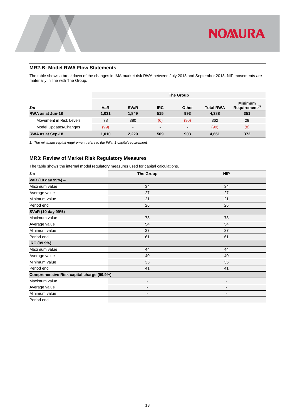

#### <span id="page-14-0"></span>**MR2-B: Model RWA Flow Statements**

The table shows a breakdown of the changes in IMA market risk RWA between July 2018 and September 2018. NIP movements are materially in line with The Group.

|                         |            | <b>The Group</b> |                |                          |                  |                                              |  |
|-------------------------|------------|------------------|----------------|--------------------------|------------------|----------------------------------------------|--|
| \$m                     | <b>VaR</b> | <b>SVaR</b>      | <b>IRC</b>     | Other                    | <b>Total RWA</b> | <b>Minimum</b><br>Requirement <sup>(1)</sup> |  |
| RWA as at Jun-18        | 1.031      | 1.849            | 515            | 993                      | 4.388            | 351                                          |  |
| Movement in Risk Levels | 78         | 380              | (6)            | (90)                     | 362              | 29                                           |  |
| Model Updates/Changes   | (99)       |                  | $\blacksquare$ | $\overline{\phantom{0}}$ | (99)             | (8)                                          |  |
| RWA as at Sep-18        | 1.010      | 2,229            | 509            | 903                      | 4.651            | 372                                          |  |

<span id="page-14-1"></span>*1. The minimum capital requirement refers to the Pillar 1 capital requirement.*

#### **MR3: Review of Market Risk Regulatory Measures**

The table shows the internal model regulatory measures used for capital calculations.

| \$m                                       | <b>The Group</b>         | <b>NIP</b>               |
|-------------------------------------------|--------------------------|--------------------------|
| VaR (10 day 99%) -                        |                          |                          |
| Maximum value                             | 34                       | 34                       |
| Average value                             | 27                       | 27                       |
| Minimum value                             | 21                       | 21                       |
| Period end                                | 26                       | 26                       |
| SVaR (10 day 99%)                         |                          |                          |
| Maximum value                             | 73                       | 73                       |
| Average value                             | 54                       | 54                       |
| Minimum value                             | 37                       | 37                       |
| Period end                                | 61                       | 61                       |
| IRC (99.9%)                               |                          |                          |
| Maximum value                             | 44                       | 44                       |
| Average value                             | 40                       | 40                       |
| Minimum value                             | 35                       | 35                       |
| Period end                                | 41                       | 41                       |
| Comprehensive Risk capital charge (99.9%) |                          |                          |
| Maximum value                             | $\overline{\phantom{0}}$ | ۰                        |
| Average value                             | $\blacksquare$           | ۰                        |
| Minimum value                             | ۰                        | $\overline{\phantom{a}}$ |
| Period end                                | $\overline{\phantom{a}}$ | $\blacksquare$           |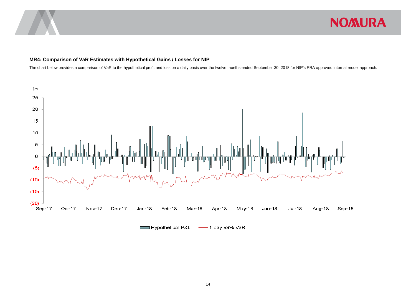

#### **MR4: Comparison of VaR Estimates with Hypothetical Gains / Losses for NIP**

The chart below provides a comparison of VaR to the hypothetical profit and loss on a daily basis over the twelve months ended September 30, 2018 for NIP's PRA approved internal model approach*.* 

<span id="page-15-0"></span>

Hypothetical P&L - 1-day 99% VaR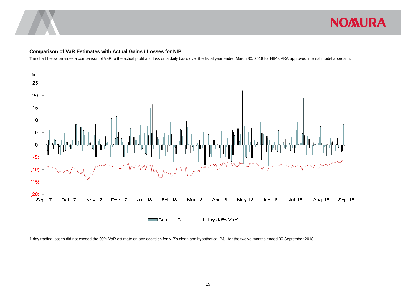![](_page_16_Picture_0.jpeg)

#### **Comparison of VaR Estimates with Actual Gains / Losses for NIP**

The chart below provides a comparison of VaR to the actual profit and loss on a daily basis over the fiscal year ended March 30, 2018 for NIP's PRA approved internal model approach.

![](_page_16_Figure_4.jpeg)

1-day trading losses did not exceed the 99% VaR estimate on any occasion for NIP's clean and hypothetical P&L for the twelve months ended 30 September 2018.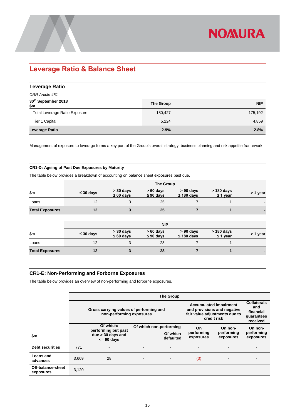![](_page_17_Picture_0.jpeg)

## <span id="page-17-0"></span>**Leverage Ratio & Balance Sheet**

<span id="page-17-1"></span>

| <b>Leverage Ratio</b>         |           |            |
|-------------------------------|-----------|------------|
| CRR Article 451               |           |            |
| 30th September 2018<br>\$m    | The Group | <b>NIP</b> |
| Total Leverage Ratio Exposure | 180,427   | 175,192    |
| Tier 1 Capital                | 5,224     | 4,859      |
| Leverage Ratio                | 2.9%      | 2.8%       |

Management of exposure to leverage forms a key part of the Group's overall strategy, business planning and risk appetite framework.

#### <span id="page-17-2"></span>**CR1-D: Ageing of Past Due Exposures by Maturity**

The table below provides a breakdown of accounting on balance sheet exposures past due.

|                        | The Group      |                               |                              |                                |                             |          |  |
|------------------------|----------------|-------------------------------|------------------------------|--------------------------------|-----------------------------|----------|--|
| $\mathsf{Sm}$          | $\leq 30$ days | $>$ 30 days<br>$\leq 60$ days | $>60$ days<br>$\leq 90$ days | $> 90$ days<br>$\leq$ 180 days | > 180 days<br>$\leq$ 1 year | > 1 year |  |
| Loans                  | 12             | 3                             | 25                           |                                |                             |          |  |
| <b>Total Exposures</b> | 12             |                               | 25                           |                                |                             |          |  |
|                        |                |                               | <b>NIP</b>                   |                                |                             |          |  |

|                        | INIE           |                               |                              |                                |                               |          |  |
|------------------------|----------------|-------------------------------|------------------------------|--------------------------------|-------------------------------|----------|--|
| \$m                    | $\leq 30$ days | $>$ 30 days<br>$\leq 60$ days | $>60$ days<br>$\leq 90$ days | $> 90$ days<br>$\leq$ 180 days | $> 180$ days<br>$\leq$ 1 year | > 1 year |  |
| Loans                  |                |                               | 28                           |                                |                               | $\sim$   |  |
| <b>Total Exposures</b> |                |                               | 28                           |                                |                               |          |  |

#### <span id="page-17-3"></span>**CR1-E: Non-Performing and Forborne Exposures**

The table below provides an overview of non-performing and forborne exposures.

|                                |       | <b>The Group</b>                                                    |                          |                                                                                                              |                                                                  |                         |                         |  |  |
|--------------------------------|-------|---------------------------------------------------------------------|--------------------------|--------------------------------------------------------------------------------------------------------------|------------------------------------------------------------------|-------------------------|-------------------------|--|--|
|                                |       | Gross carrying values of performing and<br>non-performing exposures |                          | <b>Accumulated impairment</b><br>and provisions and negative<br>fair value adjustments due to<br>credit risk | <b>Collaterals</b><br>and<br>financial<br>quarantees<br>received |                         |                         |  |  |
|                                |       | Of which:                                                           | Of which non-performing  |                                                                                                              | On<br>On non-                                                    |                         | On non-                 |  |  |
| \$m                            |       | performing but past<br>due > 30 days and<br>$\leq$ 90 days          |                          | Of which<br>defaulted                                                                                        | performing<br>exposures                                          | performing<br>exposures | performing<br>exposures |  |  |
| <b>Debt securities</b>         | 771   |                                                                     | $\overline{\phantom{0}}$ |                                                                                                              |                                                                  |                         |                         |  |  |
| Loans and<br>advances          | 3.609 | 28                                                                  | $\overline{\phantom{0}}$ |                                                                                                              | (3)                                                              |                         |                         |  |  |
| Off-balance-sheet<br>exposures | 3,120 |                                                                     | ۰                        | -                                                                                                            |                                                                  |                         |                         |  |  |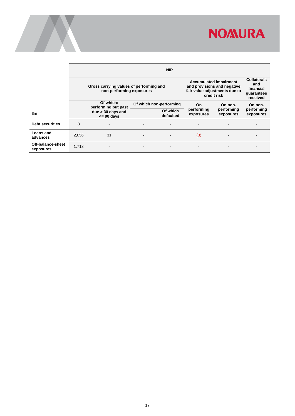![](_page_18_Picture_0.jpeg)

|                                | <b>NIP</b> |                                                                     |  |                         |                                                                                                              |                                                                  |                         |  |
|--------------------------------|------------|---------------------------------------------------------------------|--|-------------------------|--------------------------------------------------------------------------------------------------------------|------------------------------------------------------------------|-------------------------|--|
|                                |            | Gross carrying values of performing and<br>non-performing exposures |  |                         | <b>Accumulated impairment</b><br>and provisions and negative<br>fair value adjustments due to<br>credit risk | <b>Collaterals</b><br>and<br>financial<br>guarantees<br>received |                         |  |
|                                |            | Of which:<br>performing but past                                    |  | Of which non-performing | On                                                                                                           | On non-                                                          | On non-                 |  |
| \$m                            |            | due > 30 days and<br>$\leq$ 90 days                                 |  | Of which<br>defaulted   | performing<br>exposures                                                                                      | performing<br>exposures                                          | performing<br>exposures |  |
| <b>Debt securities</b>         | 8          |                                                                     |  |                         |                                                                                                              |                                                                  |                         |  |
| Loans and<br>advances          | 2.056      | 31                                                                  |  |                         | (3)                                                                                                          |                                                                  |                         |  |
| Off-balance-sheet<br>exposures | 1,713      | -                                                                   |  | $\blacksquare$          |                                                                                                              |                                                                  |                         |  |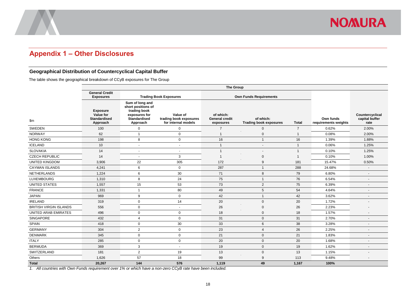![](_page_19_Picture_0.jpeg)

### **Appendix 1 – Other Disclosures**

#### **Geographical Distribution of Countercyclical Capital Buffer**

The table shows the geographical breakdown of CCyB exposures for The Group

<span id="page-19-0"></span>

|                        | <b>The Group</b>                                                |                                                                                                           |                                                           |                                                 |                                            |                |                                   |                                           |  |
|------------------------|-----------------------------------------------------------------|-----------------------------------------------------------------------------------------------------------|-----------------------------------------------------------|-------------------------------------------------|--------------------------------------------|----------------|-----------------------------------|-------------------------------------------|--|
|                        | <b>General Credit</b><br><b>Exposures</b>                       |                                                                                                           | <b>Trading Book Exposures</b>                             |                                                 | <b>Own Funds Requirements</b>              |                |                                   |                                           |  |
| \$m\$                  | <b>Exposure</b><br>Value for<br><b>Standardised</b><br>Approach | Sum of long and<br>short positions of<br>trading book<br>exposures for<br><b>Standardised</b><br>Approach | Value of<br>trading book exposures<br>for internal models | of which:<br><b>General credit</b><br>exposures | of which:<br><b>Trading book exposures</b> | <b>Total</b>   | Own funds<br>requirements weights | Countercyclical<br>capital buffer<br>rate |  |
| SWEDEN                 | 100                                                             | 0                                                                                                         | $\mathsf 0$                                               | $\overline{7}$                                  | $\mathbf 0$                                | $\overline{7}$ | 0.62%                             | 2.00%                                     |  |
| <b>NORWAY</b>          | 62                                                              | 1                                                                                                         | $\mathbf 0$                                               | $\mathbf 1$                                     | $\mathbf 0$                                | $\mathbf{1}$   | 0.08%                             | 2.00%                                     |  |
| <b>HONG KONG</b>       | 198                                                             | 8                                                                                                         | $\mathbf 0$                                               | 16                                              | $\overline{1}$                             | 16             | 1.39%                             | 1.88%                                     |  |
| <b>ICELAND</b>         | 10                                                              | $\overline{a}$                                                                                            | $\sim$                                                    |                                                 | $\blacksquare$                             | $\mathbf 1$    | 0.06%                             | 1.25%                                     |  |
| <b>SLOVAKIA</b>        | 14                                                              | $\overline{\phantom{a}}$                                                                                  | $\blacksquare$                                            | 1                                               | $\overline{a}$                             | $\mathbf 1$    | 0.10%                             | 1.25%                                     |  |
| <b>CZECH REPUBLIC</b>  | 14                                                              | $\sim$                                                                                                    | 3                                                         |                                                 | $\mathbf 0$                                | $\mathbf 1$    | 0.10%                             | 1.00%                                     |  |
| <b>UNITED KINGDOM</b>  | 3,906                                                           | 22                                                                                                        | 305                                                       | 172                                             | 9                                          | 181            | 15.47%                            | 0.50%                                     |  |
| <b>CAYMAN ISLANDS</b>  | 4,241                                                           | 6                                                                                                         | $\mathbf 0$                                               | 287                                             | $\overline{1}$                             | 288            | 24.68%                            | $\overline{\phantom{a}}$                  |  |
| <b>NETHERLANDS</b>     | 1,224                                                           | 6                                                                                                         | 30                                                        | 71                                              | 8                                          | 79             | 6.80%                             | $\overline{\phantom{a}}$                  |  |
| <b>LUXEMBOURG</b>      | 1,310                                                           | 8                                                                                                         | 24                                                        | 75                                              | $\overline{1}$                             | 76             | 6.54%                             | $\blacksquare$                            |  |
| <b>UNITED STATES</b>   | 1,557                                                           | 15                                                                                                        | 53                                                        | 73                                              | $\overline{2}$                             | 75             | 6.39%                             | ٠                                         |  |
| <b>FRANCE</b>          | 1,331                                                           | 1                                                                                                         | 80                                                        | 49                                              | 5                                          | 54             | 4.64%                             | ٠                                         |  |
| <b>JAPAN</b>           | 969                                                             | 9                                                                                                         | $\mathbf 0$                                               | 42                                              | $\overline{1}$                             | 42             | 3.62%                             | $\overline{\phantom{a}}$                  |  |
| <b>IRELAND</b>         | 319                                                             | 0                                                                                                         | 14                                                        | 20                                              | $\mathbf{0}$                               | 20             | 1.72%                             | $\overline{\phantom{a}}$                  |  |
| BRITISH VIRGIN ISLANDS | 556                                                             | 0                                                                                                         | $\sim$                                                    | 26                                              | $\mathbf 0$                                | 26             | 2.23%                             | $\blacksquare$                            |  |
| UNITED ARAB EMIRATES   | 496                                                             | 0                                                                                                         | $\mathbf 0$                                               | 18                                              | $\mathbf 0$                                | 18             | 1.57%                             |                                           |  |
| SINGAPORE              | 432                                                             | 4                                                                                                         | $\mathbf 0$                                               | 31                                              | $\mathbf 0$                                | 31             | 2.70%                             | $\qquad \qquad \blacksquare$              |  |
| <b>SPAIN</b>           | 418                                                             | 0                                                                                                         | 30                                                        | 33                                              | 6                                          | 38             | 3.28%                             | $\blacksquare$                            |  |
| <b>GERMANY</b>         | 304                                                             | $\overline{2}$                                                                                            | $\mathbf 0$                                               | 23                                              | $\overline{4}$                             | 26             | 2.25%                             |                                           |  |
| <b>DENMARK</b>         | 345                                                             | 0                                                                                                         | $\mathbf 0$                                               | 21                                              | $\mathbf 0$                                | 21             | 1.83%                             |                                           |  |
| <b>ITALY</b>           | 285                                                             | 0                                                                                                         | $\mathbf 0$                                               | 20                                              | $\mathbf 0$                                | 20             | 1.68%                             | $\blacksquare$                            |  |
| <b>BERMUDA</b>         | 369                                                             | 3                                                                                                         | $\sim$                                                    | 19                                              | $\mathbf 0$                                | 19             | 1.62%                             | ٠                                         |  |
| SWITZERLAND            | 181                                                             | $\overline{2}$                                                                                            | 19                                                        | 13                                              | $\mathbf 0$                                | 13             | 1.15%                             |                                           |  |
| Others                 | 1,626                                                           | 57                                                                                                        | 18                                                        | 99                                              | 9                                          | 113            | 9.48%                             | $\blacksquare$                            |  |
| <b>Total</b>           | 20,267                                                          | 144                                                                                                       | 576                                                       | 1,119                                           | 49                                         | 1,167          | 100%                              |                                           |  |

<span id="page-19-1"></span>*1. All countries with Own Funds requirement over 1% or which have a non-zero CCyB rate have been included.*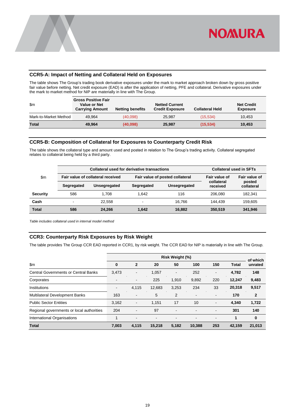![](_page_20_Picture_0.jpeg)

#### <span id="page-20-0"></span>**CCR5-A: Impact of Netting and Collateral Held on Exposures**

The table shows The Group's trading book derivative exposures under the mark to market approach broken down by gross positive fair value before netting. Net credit exposure (EAD) is after the application of netting, PFE and collateral. Derivative exposures under the mark to market method for NIP are materially in line with The Group.

| \$m                   | <b>Gross Positive Fair</b><br><b>Value or Net</b><br><b>Carrying Amount</b> | <b>Netting benefits</b> | <b>Netted Current</b><br><b>Credit Exposure</b> | <b>Collateral Held</b> | <b>Net Credit</b><br><b>Exposure</b> |
|-----------------------|-----------------------------------------------------------------------------|-------------------------|-------------------------------------------------|------------------------|--------------------------------------|
| Mark-to-Market Method | 49.964                                                                      | (40,098)                | 25.987                                          | (15, 534)              | 10,453                               |
| <b>Total</b>          | 49.964                                                                      | (40,098)                | 25,987                                          | (15, 534)              | 10,453                               |

#### <span id="page-20-1"></span>**CCR5-B: Composition of Collateral for Exposures to Counterparty Credit Risk**

The table shows the collateral type and amount used and posted in relation to The Group's trading activity. Collateral segregated relates to collateral being held by a third party.

|                 |            | <b>Collateral used for derivative transactions</b> | <b>Collateral used in SFTs</b> |               |                        |                      |
|-----------------|------------|----------------------------------------------------|--------------------------------|---------------|------------------------|----------------------|
| \$m             |            | Fair value of collateral received                  | Fair value of                  | Fair value of |                        |                      |
|                 | Segregated | Unsegregated                                       | Segregated                     | Unsegregated  | collateral<br>received | posted<br>collateral |
| <b>Security</b> | 586        | 1.708                                              | 1.642                          | 116           | 206.080                | 182.341              |
| Cash            | ۰          | 22.558                                             | $\sim$                         | 16.766        | 144.439                | 159.605              |
| <b>Total</b>    | 586        | 24.266                                             | 1.642                          | 16.882        | 350.519                | 341,946              |

<span id="page-20-2"></span>*Table includes collateral used in internal model method*

#### **CCR3: Counterparty Risk Exposures by Risk Weight**

The table provides The Group CCR EAD reported in CCR1, by risk weight. The CCR EAD for NIP is materially in line with The Group.

|                                             | Risk Weight (%)          |                              |                          |                |                          |     |              | of which     |
|---------------------------------------------|--------------------------|------------------------------|--------------------------|----------------|--------------------------|-----|--------------|--------------|
| \$m                                         | $\bf{0}$                 | $\mathbf{2}$                 | 20                       | 50             | 100                      | 150 | <b>Total</b> | unrated      |
| <b>Central Governments or Central Banks</b> | 3,473                    | $\blacksquare$               | 1,057                    | $\blacksquare$ | 252                      | -   | 4,782        | 148          |
| Corporates                                  | $\overline{\phantom{0}}$ | ۰.                           | 225                      | 1,910          | 9,892                    | 220 | 12,247       | 9,483        |
| Institutions                                | $\overline{\phantom{a}}$ | 4.115                        | 12,683                   | 3,253          | 234                      | 33  | 20,318       | 9,517        |
| Multilateral Development Banks              | 163                      | $\qquad \qquad \blacksquare$ | 5                        | 2              | ٠                        | -   | 170          | $\mathbf{2}$ |
| <b>Public Sector Entities</b>               | 3,162                    | $\overline{\phantom{a}}$     | 1.151                    | 17             | 10                       | ۰   | 4.340        | 1,722        |
| Regional governments or local authorities   | 204                      | $\overline{\phantom{a}}$     | 97                       | ٠              |                          | ۰   | 301          | 140          |
| International Organisations                 |                          | $\qquad \qquad \blacksquare$ | $\overline{\phantom{a}}$ | ٠              | $\overline{\phantom{a}}$ | ٠   | 1            | 0            |
| <b>Total</b>                                | 7,003                    | 4,115                        | 15,218                   | 5,182          | 10,388                   | 253 | 42,159       | 21,013       |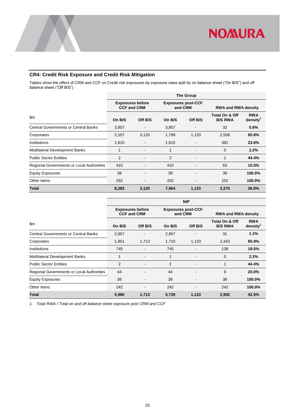![](_page_21_Picture_0.jpeg)

#### <span id="page-21-0"></span>**CR4: Credit Risk Exposure and Credit Risk Mitigation**

Tables show the effect of CRM and CCF on Credit risk exposures by exposure class split by on balance sheet ("On B/S") and off balance sheet ("Off B/S")

|                                             | <b>Exposures before</b><br><b>CCF and CRM</b> |         | <b>Exposures post-CCF</b><br>and CRM |         | <b>RWA and RWA density</b>                  |                                    |
|---------------------------------------------|-----------------------------------------------|---------|--------------------------------------|---------|---------------------------------------------|------------------------------------|
| \$m                                         | On B/S                                        | Off B/S | On B/S                               | Off B/S | <b>Total On &amp; Off</b><br><b>B/S RWA</b> | <b>RWA</b><br>density <sup>1</sup> |
| <b>Central Governments or Central Banks</b> | 3,857                                         |         | 3,857                                |         | 32                                          | 0.8%                               |
| Corporates                                  | 2,107                                         | 3,120   | 1,789                                | 1,133   | 2,508                                       | 85.8%                              |
| Institutions                                | 1,615                                         |         | 1,615                                |         | 381                                         | 23.6%                              |
| Multilateral Development Banks              | 1                                             |         | 1                                    |         | $\Omega$                                    | 2.2%                               |
| <b>Public Sector Entities</b>               | 2                                             |         | 2                                    |         | 1                                           | 44.4%                              |
| Regional Governments or Local Authorities   | 410                                           |         | 410                                  |         | 63                                          | 15.5%                              |
| <b>Equity Exposures</b>                     | 38                                            |         | 38                                   |         | 38                                          | 100.0%                             |
| Other items                                 | 252                                           |         | 252                                  |         | 252                                         | 100.0%                             |
| <b>Total</b>                                | 8,282                                         | 3,120   | 7,964                                | 1,133   | 3,275                                       | 36.0%                              |

|                                             | <b>NIP</b>                                    |                          |                                      |         |                                             |                                    |  |  |
|---------------------------------------------|-----------------------------------------------|--------------------------|--------------------------------------|---------|---------------------------------------------|------------------------------------|--|--|
|                                             | <b>Exposures before</b><br><b>CCF and CRM</b> |                          | <b>Exposures post-CCF</b><br>and CRM |         | <b>RWA and RWA density</b>                  |                                    |  |  |
| \$m                                         | On B/S                                        | Off B/S                  | On B/S                               | Off B/S | <b>Total On &amp; Off</b><br><b>B/S RWA</b> | <b>RWA</b><br>density <sup>1</sup> |  |  |
| <b>Central Governments or Central Banks</b> | 2,957                                         |                          | 2,957                                |         | 31                                          | 1.1%                               |  |  |
| Corporates                                  | 1,951                                         | 1,713                    | 1,710                                | 1,133   | 2,443                                       | 85.9%                              |  |  |
| Institutions                                | 745                                           |                          | 745                                  |         | 138                                         | 18.5%                              |  |  |
| <b>Multilateral Development Banks</b>       | 1                                             | $\overline{\phantom{a}}$ | 1                                    |         | $\mathbf 0$                                 | 2.2%                               |  |  |
| <b>Public Sector Entities</b>               | 2                                             |                          | 2                                    |         | 1                                           | 44.4%                              |  |  |
| Regional Governments or Local Authorities   | 44                                            |                          | 44                                   |         | 9                                           | 20.0%                              |  |  |
| <b>Equity Exposures</b>                     | 38                                            | $\overline{\phantom{a}}$ | 38                                   |         | 38                                          | 100.0%                             |  |  |
| Other items                                 | 242                                           | ٠                        | 242                                  |         | 242                                         | 100.0%                             |  |  |
| <b>Total</b>                                | 5,980                                         | 1,713                    | 5,739                                | 1,133   | 2,902                                       | 42.5%                              |  |  |

*1. Total RWA / Total on and off balance sheet exposure post CRM and CCF*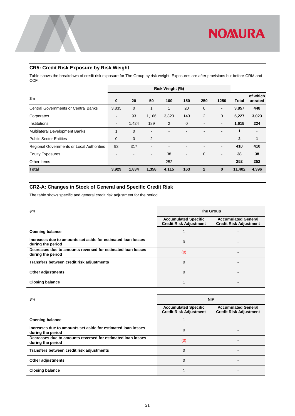![](_page_22_Picture_0.jpeg)

#### <span id="page-22-0"></span>**CR5: Credit Risk Exposure by Risk Weight**

Table shows the breakdown of credit risk exposure for The Group by risk weight. Exposures are after provisions but before CRM and CCF.

|                                                  | Risk Weight (%)          |                |                          |       |                |              |                          |              |                     |
|--------------------------------------------------|--------------------------|----------------|--------------------------|-------|----------------|--------------|--------------------------|--------------|---------------------|
| \$m                                              | $\bf{0}$                 | 20             | 50                       | 100   | 150            | 250          | 1250                     | Total        | of which<br>unrated |
| <b>Central Governments or Central Banks</b>      | 3,835                    | 0              | 1                        |       | 20             | $\mathbf 0$  | $\overline{\phantom{a}}$ | 3,857        | 448                 |
| Corporates                                       | $\overline{\phantom{a}}$ | 93             | 1,166                    | 3,823 | 143            | 2            | $\mathbf 0$              | 5,227        | 3,023               |
| Institutions                                     | $\overline{\phantom{a}}$ | 1,424          | 189                      | 2     | $\mathbf 0$    |              | ٠                        | 1,615        | 224                 |
| Multilateral Development Banks                   |                          | $\overline{0}$ | $\overline{\phantom{a}}$ |       |                |              |                          | 1            | $\blacksquare$      |
| <b>Public Sector Entities</b>                    | $\mathbf 0$              | $\mathbf 0$    | 2                        | -     |                |              |                          | $\mathbf{2}$ | 1                   |
| <b>Regional Governments or Local Authorities</b> | 93                       | 317            | $\overline{\phantom{a}}$ | ٠     |                |              | $\blacksquare$           | 410          | 410                 |
| <b>Equity Exposures</b>                          |                          |                | $\overline{\phantom{a}}$ | 38    | $\blacksquare$ | $\mathbf 0$  | $\blacksquare$           | 38           | 38                  |
| Other Items                                      | $\overline{\phantom{0}}$ | ۰              | $\blacksquare$           | 252   | $\blacksquare$ |              | $\blacksquare$           | 252          | 252                 |
| <b>Total</b>                                     | 3,929                    | 1,834          | 1,358                    | 4,115 | 163            | $\mathbf{2}$ | $\bf{0}$                 | 11,402       | 4,396               |

#### <span id="page-22-1"></span>**CR2-A: Changes in Stock of General and Specific Credit Risk**

The table shows specific and general credit risk adjustment for the period.

| $\mathop{\mathsf{S}} \nolimits m$                                                 | <b>The Group</b>                                             |                                                             |
|-----------------------------------------------------------------------------------|--------------------------------------------------------------|-------------------------------------------------------------|
|                                                                                   | <b>Accumulated Specific</b><br><b>Credit Risk Adjustment</b> | <b>Accumulated General</b><br><b>Credit Risk Adjustment</b> |
| <b>Opening balance</b>                                                            |                                                              |                                                             |
| Increases due to amounts set aside for estimated loan losses<br>during the period | $\Omega$                                                     |                                                             |
| Decreases due to amounts reversed for estimated loan losses<br>during the period  | (0)                                                          |                                                             |
| Transfers between credit risk adjustments                                         | $\Omega$                                                     |                                                             |
| <b>Other adjustments</b>                                                          | $\Omega$                                                     |                                                             |
| <b>Closing balance</b>                                                            |                                                              |                                                             |

| $\mathop{\mathsf{S}} \nolimits m$                                                 | <b>NIP</b>                                                   |                                                             |  |  |
|-----------------------------------------------------------------------------------|--------------------------------------------------------------|-------------------------------------------------------------|--|--|
|                                                                                   | <b>Accumulated Specific</b><br><b>Credit Risk Adjustment</b> | <b>Accumulated General</b><br><b>Credit Risk Adjustment</b> |  |  |
| <b>Opening balance</b>                                                            |                                                              |                                                             |  |  |
| Increases due to amounts set aside for estimated loan losses<br>during the period | 0                                                            |                                                             |  |  |
| Decreases due to amounts reversed for estimated loan losses<br>during the period  | (0)                                                          |                                                             |  |  |
| Transfers between credit risk adjustments                                         | 0                                                            |                                                             |  |  |
| Other adjustments                                                                 | 0                                                            |                                                             |  |  |
| <b>Closing balance</b>                                                            |                                                              |                                                             |  |  |